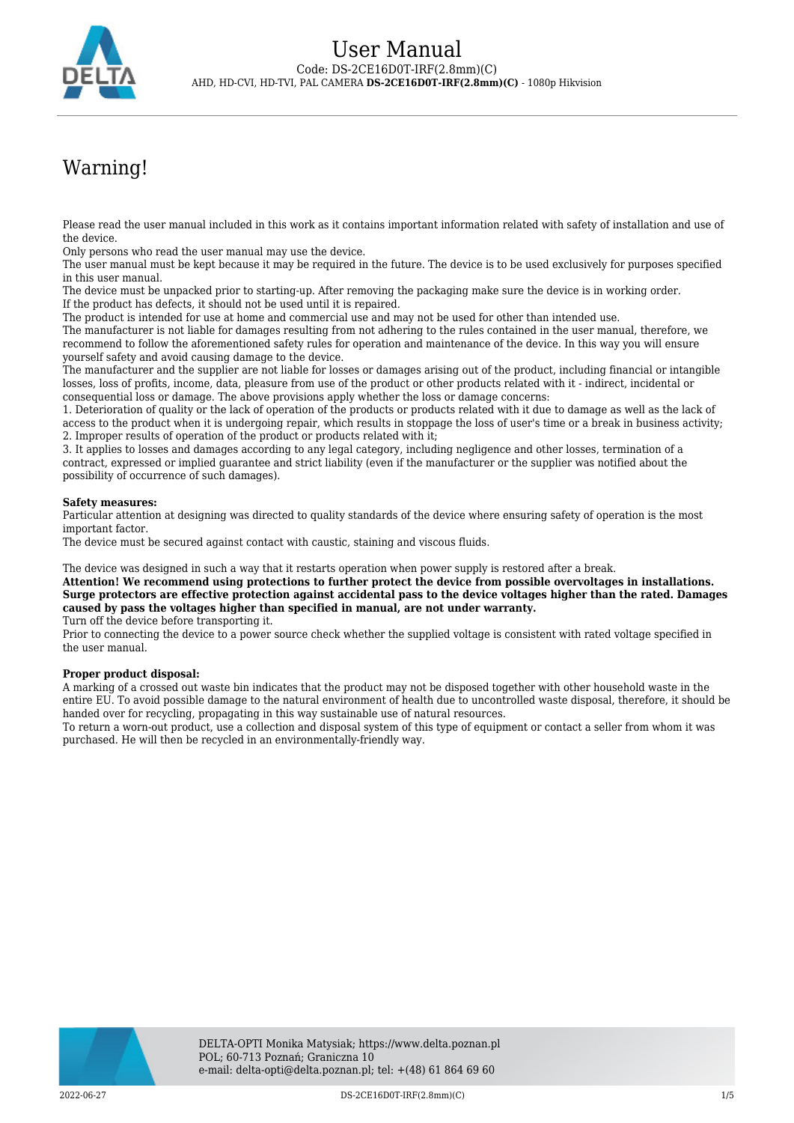

# Warning!

Please read the user manual included in this work as it contains important information related with safety of installation and use of the device.

Only persons who read the user manual may use the device.

The user manual must be kept because it may be required in the future. The device is to be used exclusively for purposes specified in this user manual.

The device must be unpacked prior to starting-up. After removing the packaging make sure the device is in working order. If the product has defects, it should not be used until it is repaired.

The product is intended for use at home and commercial use and may not be used for other than intended use.

The manufacturer is not liable for damages resulting from not adhering to the rules contained in the user manual, therefore, we recommend to follow the aforementioned safety rules for operation and maintenance of the device. In this way you will ensure yourself safety and avoid causing damage to the device.

The manufacturer and the supplier are not liable for losses or damages arising out of the product, including financial or intangible losses, loss of profits, income, data, pleasure from use of the product or other products related with it - indirect, incidental or consequential loss or damage. The above provisions apply whether the loss or damage concerns:

1. Deterioration of quality or the lack of operation of the products or products related with it due to damage as well as the lack of access to the product when it is undergoing repair, which results in stoppage the loss of user's time or a break in business activity; 2. Improper results of operation of the product or products related with it;

3. It applies to losses and damages according to any legal category, including negligence and other losses, termination of a contract, expressed or implied guarantee and strict liability (even if the manufacturer or the supplier was notified about the possibility of occurrence of such damages).

#### **Safety measures:**

Particular attention at designing was directed to quality standards of the device where ensuring safety of operation is the most important factor.

The device must be secured against contact with caustic, staining and viscous fluids.

The device was designed in such a way that it restarts operation when power supply is restored after a break.

**Attention! We recommend using protections to further protect the device from possible overvoltages in installations. Surge protectors are effective protection against accidental pass to the device voltages higher than the rated. Damages caused by pass the voltages higher than specified in manual, are not under warranty.**

Turn off the device before transporting it.

Prior to connecting the device to a power source check whether the supplied voltage is consistent with rated voltage specified in the user manual.

#### **Proper product disposal:**

A marking of a crossed out waste bin indicates that the product may not be disposed together with other household waste in the entire EU. To avoid possible damage to the natural environment of health due to uncontrolled waste disposal, therefore, it should be handed over for recycling, propagating in this way sustainable use of natural resources.

To return a worn-out product, use a collection and disposal system of this type of equipment or contact a seller from whom it was purchased. He will then be recycled in an environmentally-friendly way.

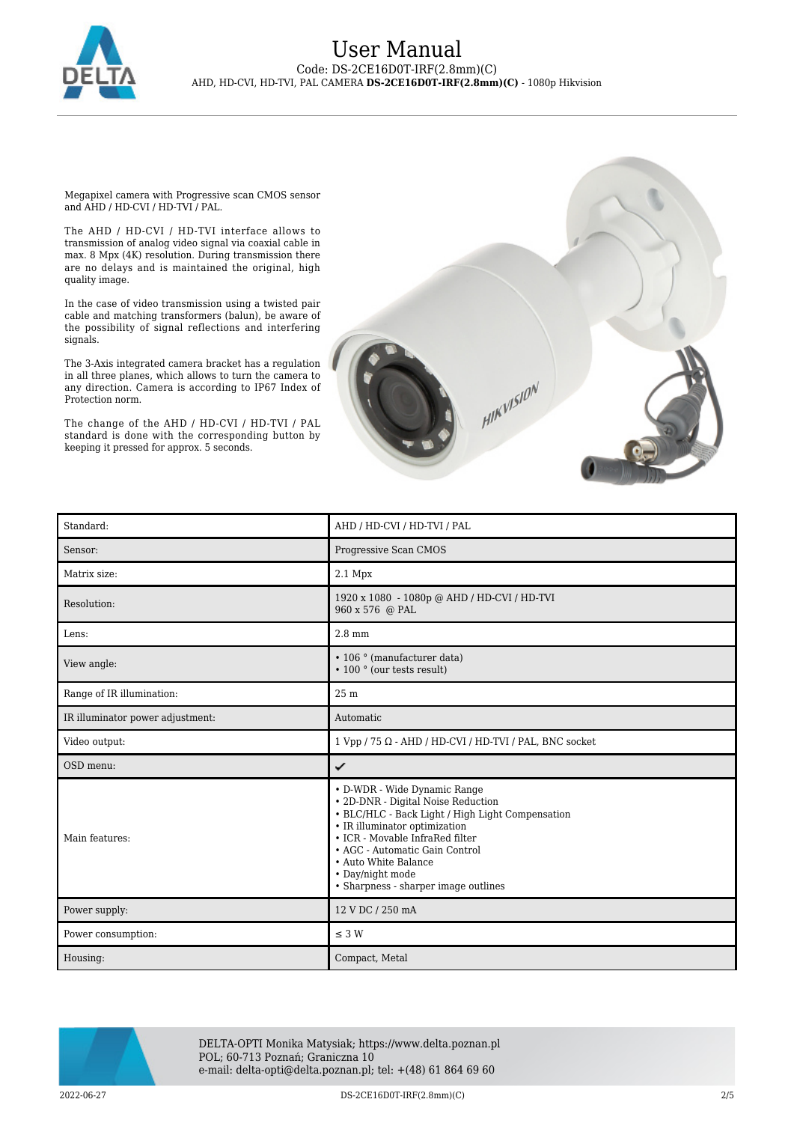

Megapixel camera with Progressive scan CMOS sensor and AHD / HD-CVI / HD-TVI / PAL.

The AHD / HD-CVI / HD-TVI interface allows to transmission of analog video signal via coaxial cable in max. 8 Mpx (4K) resolution. During transmission there are no delays and is maintained the original, high quality image.

In the case of video transmission using a twisted pair cable and matching transformers (balun), be aware of the possibility of signal reflections and interfering signals.

The 3-Axis integrated camera bracket has a regulation in all three planes, which allows to turn the camera to any direction. Camera is according to IP67 Index of Protection norm.

The change of the AHD / HD-CVI / HD-TVI / PAL standard is done with the corresponding button by keeping it pressed for approx. 5 seconds.



| Standard:                        | AHD / HD-CVI / HD-TVI / PAL                                                                                                                                                                                                                                                                                      |
|----------------------------------|------------------------------------------------------------------------------------------------------------------------------------------------------------------------------------------------------------------------------------------------------------------------------------------------------------------|
| Sensor:                          | Progressive Scan CMOS                                                                                                                                                                                                                                                                                            |
| Matrix size:                     | $2.1$ Mpx                                                                                                                                                                                                                                                                                                        |
| Resolution:                      | 1920 x 1080 - 1080p @ AHD / HD-CVI / HD-TVI<br>960 x 576 @ PAL                                                                                                                                                                                                                                                   |
| Lens:                            | $2.8 \text{ mm}$                                                                                                                                                                                                                                                                                                 |
| View angle:                      | • 106 ° (manufacturer data)<br>• 100 ° (our tests result)                                                                                                                                                                                                                                                        |
| Range of IR illumination:        | 25 m                                                                                                                                                                                                                                                                                                             |
| IR illuminator power adjustment: | Automatic                                                                                                                                                                                                                                                                                                        |
| Video output:                    | $1$ Vpp / 75 $\Omega$ - AHD / HD-CVI / HD-TVI / PAL, BNC socket                                                                                                                                                                                                                                                  |
| OSD menu:                        | ✓                                                                                                                                                                                                                                                                                                                |
| Main features:                   | • D-WDR - Wide Dynamic Range<br>· 2D-DNR - Digital Noise Reduction<br>• BLC/HLC - Back Light / High Light Compensation<br>• IR illuminator optimization<br>• ICR - Movable InfraRed filter<br>• AGC - Automatic Gain Control<br>• Auto White Balance<br>• Day/night mode<br>• Sharpness - sharper image outlines |
| Power supply:                    | 12 V DC / 250 mA                                                                                                                                                                                                                                                                                                 |
| Power consumption:               | $\leq$ 3 W                                                                                                                                                                                                                                                                                                       |
| Housing:                         | Compact, Metal                                                                                                                                                                                                                                                                                                   |



DELTA-OPTI Monika Matysiak; https://www.delta.poznan.pl POL; 60-713 Poznań; Graniczna 10 e-mail: delta-opti@delta.poznan.pl; tel: +(48) 61 864 69 60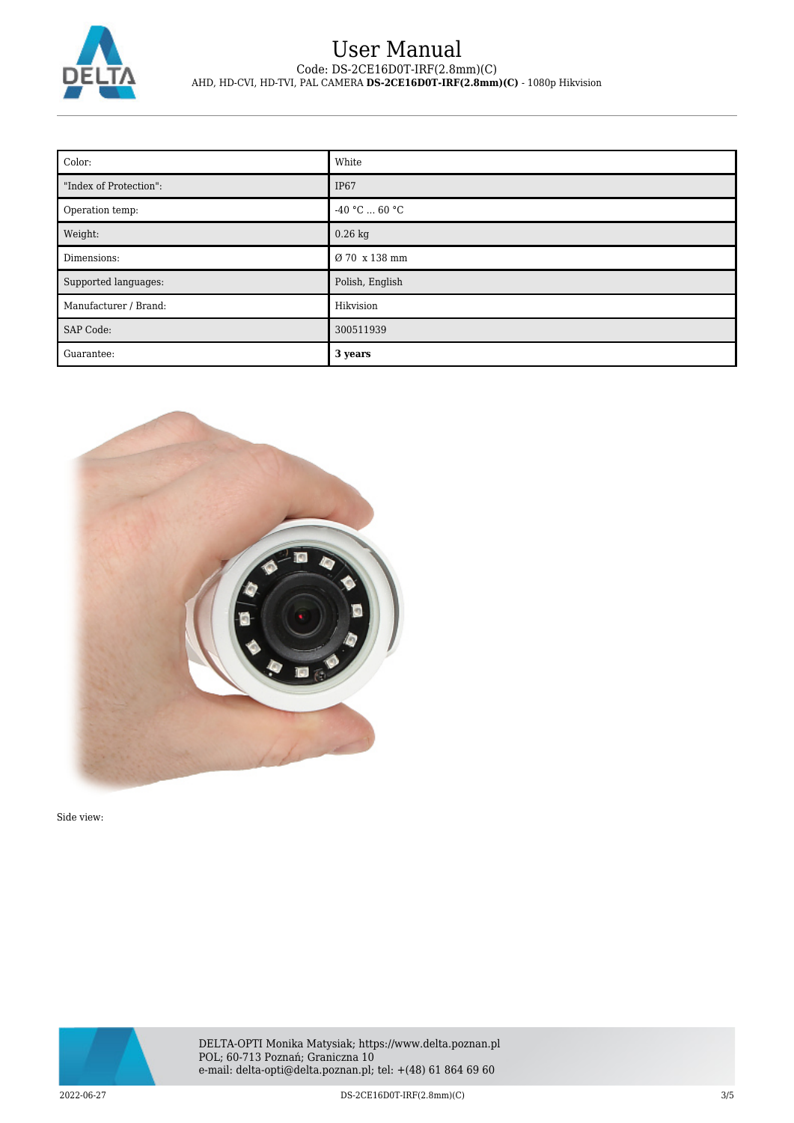

| Color:                 | White           |
|------------------------|-----------------|
| "Index of Protection": | <b>IP67</b>     |
| Operation temp:        | $-40 °C  60 °C$ |
| Weight:                | $0.26$ kg       |
| Dimensions:            | Ø 70 x 138 mm   |
| Supported languages:   | Polish, English |
| Manufacturer / Brand:  | Hikvision       |
| SAP Code:              | 300511939       |
| Guarantee:             | 3 years         |



Side view:

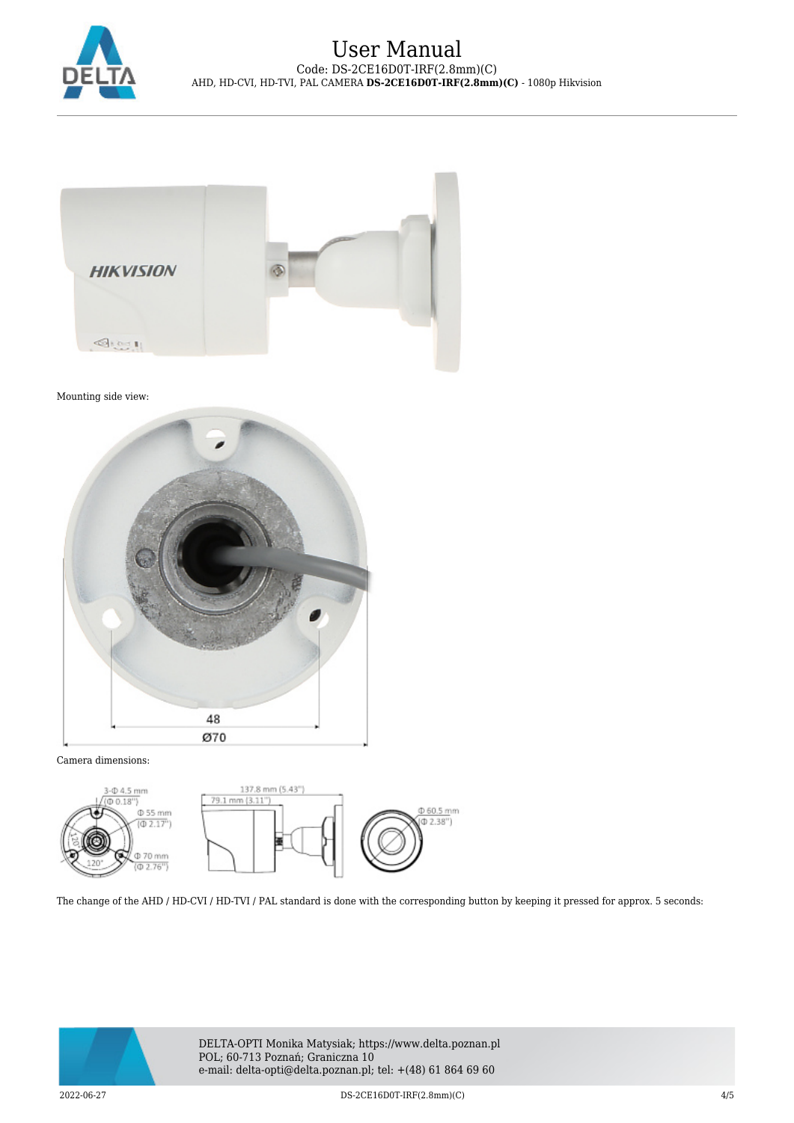



Mounting side view:



Camera dimensions:



The change of the AHD / HD-CVI / HD-TVI / PAL standard is done with the corresponding button by keeping it pressed for approx. 5 seconds:



DELTA-OPTI Monika Matysiak; https://www.delta.poznan.pl POL; 60-713 Poznań; Graniczna 10 e-mail: delta-opti@delta.poznan.pl; tel: +(48) 61 864 69 60